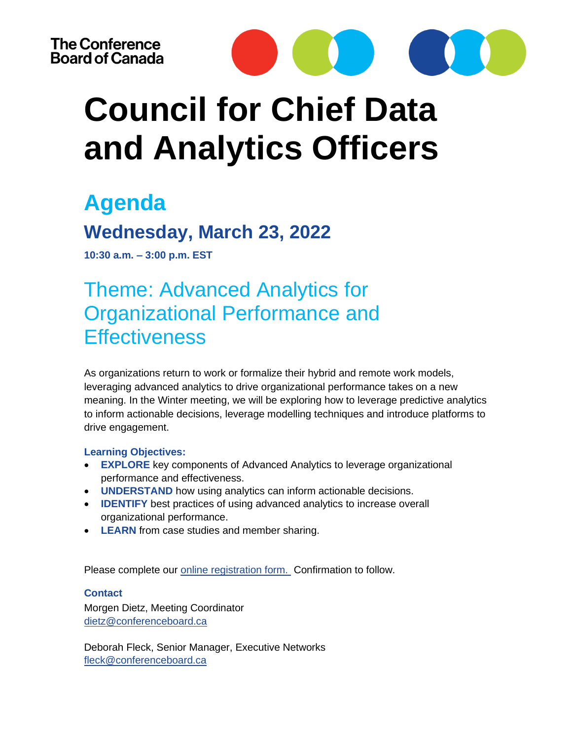

# **Council for Chief Data and Analytics Officers**

### **Agenda**

### **Wednesday, March 23, 2022**

**10:30 a.m. – 3:00 p.m. EST**

Theme: Advanced Analytics for Organizational Performance and **Effectiveness** 

As organizations return to work or formalize their hybrid and remote work models, leveraging advanced analytics to drive organizational performance takes on a new meaning. In the Winter meeting, we will be exploring how to leverage predictive analytics to inform actionable decisions, leverage modelling techniques and introduce platforms to drive engagement.

#### **Learning Objectives:**

- **EXPLORE** key components of Advanced Analytics to leverage organizational performance and effectiveness.
- **UNDERSTAND** how using analytics can inform actionable decisions.
- **IDENTIFY** best practices of using advanced analytics to increase overall organizational performance.
- **LEARN** from case studies and member sharing.

Please complete our **online registration form.** Confirmation to follow.

#### **Contact**

Morgen Dietz, Meeting Coordinator [dietz@conferenceboard.ca](mailto:dietz@conferenceboard.ca)

Deborah Fleck, Senior Manager, Executive Networks [fleck@conferenceboard.ca](mailto:fleck@conferenceboard.ca)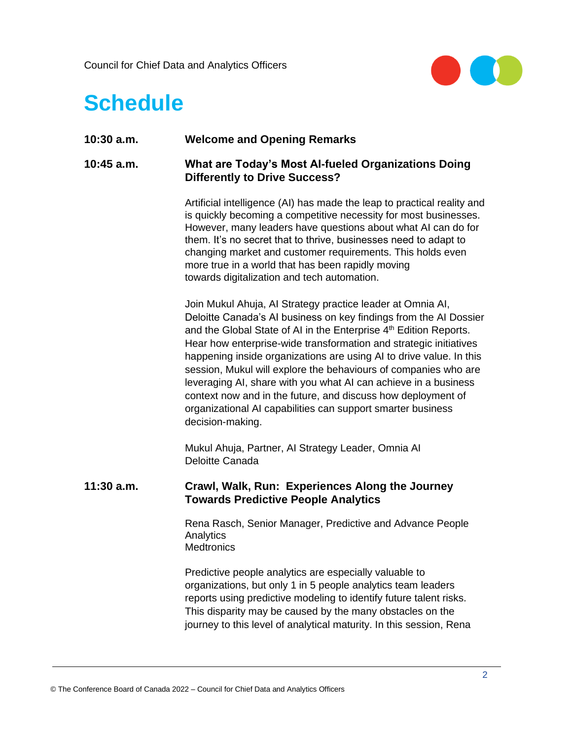

## **Schedule**

| <b>Welcome and Opening Remarks</b><br>$10:30$ a.m. |
|----------------------------------------------------|
|----------------------------------------------------|

#### **10:45 a.m. What are Today's Most AI-fueled Organizations Doing Differently to Drive Success?**

Artificial intelligence (AI) has made the leap to practical reality and is quickly becoming a competitive necessity for most businesses. However, many leaders have questions about what AI can do for them. It's no secret that to thrive, businesses need to adapt to changing market and customer requirements. This holds even more true in a world that has been rapidly moving towards digitalization and tech automation.

Join Mukul Ahuja, AI Strategy practice leader at Omnia AI, Deloitte Canada's AI business on key findings from the AI Dossier and the Global State of AI in the Enterprise  $4<sup>th</sup>$  Edition Reports. Hear how enterprise-wide transformation and strategic initiatives happening inside organizations are using AI to drive value. In this session, Mukul will explore the behaviours of companies who are leveraging AI, share with you what AI can achieve in a business context now and in the future, and discuss how deployment of organizational AI capabilities can support smarter business decision-making.

Mukul Ahuja, Partner, AI Strategy Leader, Omnia AI Deloitte Canada

#### **11:30 a.m. Crawl, Walk, Run: Experiences Along the Journey Towards Predictive People Analytics**

Rena Rasch, Senior Manager, Predictive and Advance People **Analytics Medtronics** 

Predictive people analytics are especially valuable to organizations, but only 1 in 5 people analytics team leaders reports using predictive modeling to identify future talent risks. This disparity may be caused by the many obstacles on the journey to this level of analytical maturity. In this session, Rena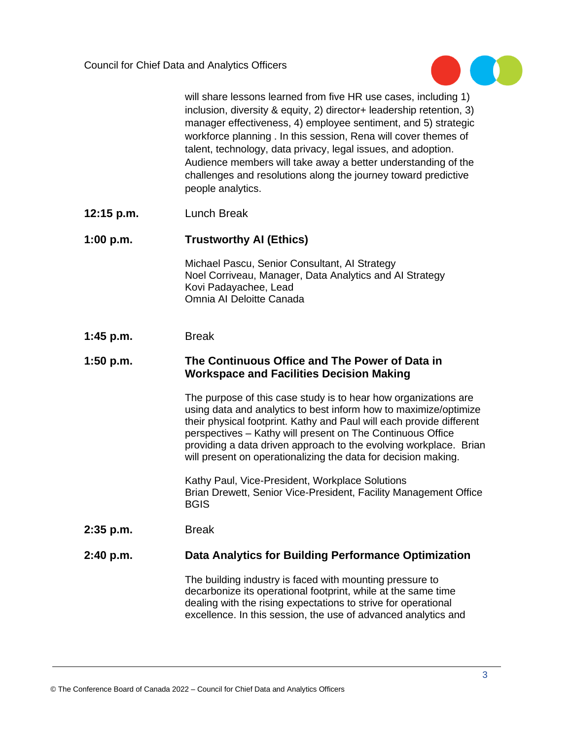

will share lessons learned from five HR use cases, including 1) inclusion, diversity & equity, 2) director+ leadership retention, 3) manager effectiveness, 4) employee sentiment, and 5) strategic workforce planning . In this session, Rena will cover themes of talent, technology, data privacy, legal issues, and adoption. Audience members will take away a better understanding of the challenges and resolutions along the journey toward predictive people analytics.

- **12:15 p.m.** Lunch Break
- **1:00 p.m. Trustworthy AI (Ethics)**

Michael Pascu, Senior Consultant, AI Strategy Noel Corriveau, Manager, Data Analytics and AI Strategy Kovi Padayachee, Lead Omnia AI Deloitte Canada

**1:45 p.m.** Break

#### **1:50 p.m. The Continuous Office and The Power of Data in Workspace and Facilities Decision Making**

The purpose of this case study is to hear how organizations are using data and analytics to best inform how to maximize/optimize their physical footprint. Kathy and Paul will each provide different perspectives – Kathy will present on The Continuous Office providing a data driven approach to the evolving workplace. Brian will present on operationalizing the data for decision making.

Kathy Paul, Vice-President, Workplace Solutions Brian Drewett, Senior Vice-President, Facility Management Office **BGIS** 

**2:35 p.m.** Break

#### **2:40 p.m. Data Analytics for Building Performance Optimization**

The building industry is faced with mounting pressure to decarbonize its operational footprint, while at the same time dealing with the rising expectations to strive for operational excellence. In this session, the use of advanced analytics and